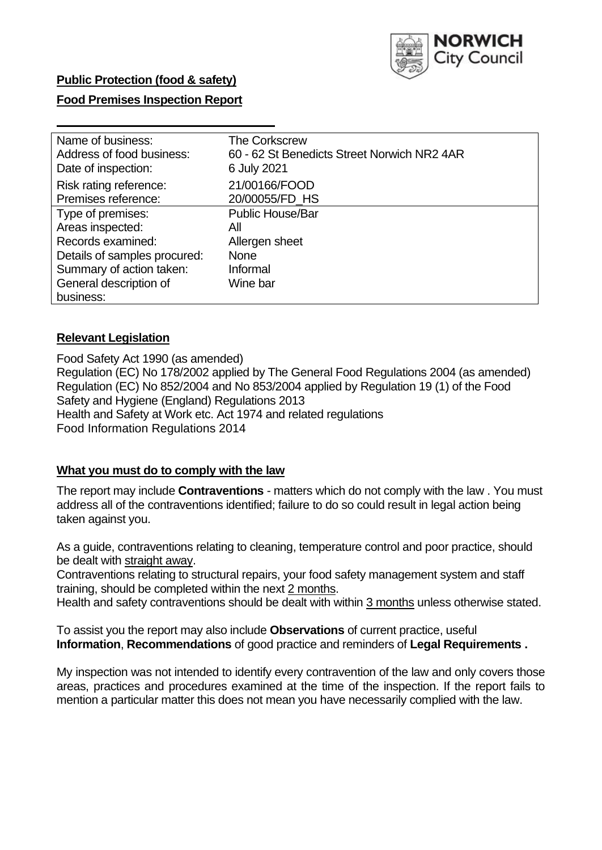

# **Public Protection (food & safety)**

# **Food Premises Inspection Report**

| Name of business:            | <b>The Corkscrew</b>                        |
|------------------------------|---------------------------------------------|
| Address of food business:    | 60 - 62 St Benedicts Street Norwich NR2 4AR |
| Date of inspection:          | 6 July 2021                                 |
| Risk rating reference:       | 21/00166/FOOD                               |
| Premises reference:          | 20/00055/FD HS                              |
| Type of premises:            | <b>Public House/Bar</b>                     |
| Areas inspected:             | Αll                                         |
| Records examined:            | Allergen sheet                              |
| Details of samples procured: | <b>None</b>                                 |
| Summary of action taken:     | Informal                                    |
| General description of       | Wine bar                                    |
| business:                    |                                             |

# **Relevant Legislation**

 Food Safety Act 1990 (as amended) Regulation (EC) No 178/2002 applied by The General Food Regulations 2004 (as amended) Regulation (EC) No 852/2004 and No 853/2004 applied by Regulation 19 (1) of the Food Safety and Hygiene (England) Regulations 2013 Health and Safety at Work etc. Act 1974 and related regulations Food Information Regulations 2014

# **What you must do to comply with the law**

 The report may include **Contraventions** - matters which do not comply with the law . You must address all of the contraventions identified; failure to do so could result in legal action being taken against you.

 As a guide, contraventions relating to cleaning, temperature control and poor practice, should be dealt with straight away.

 Contraventions relating to structural repairs, your food safety management system and staff training, should be completed within the next 2 months.

Health and safety contraventions should be dealt with within 3 months unless otherwise stated.

 To assist you the report may also include **Observations** of current practice, useful **Information**, **Recommendations** of good practice and reminders of **Legal Requirements .** 

 My inspection was not intended to identify every contravention of the law and only covers those areas, practices and procedures examined at the time of the inspection. If the report fails to mention a particular matter this does not mean you have necessarily complied with the law.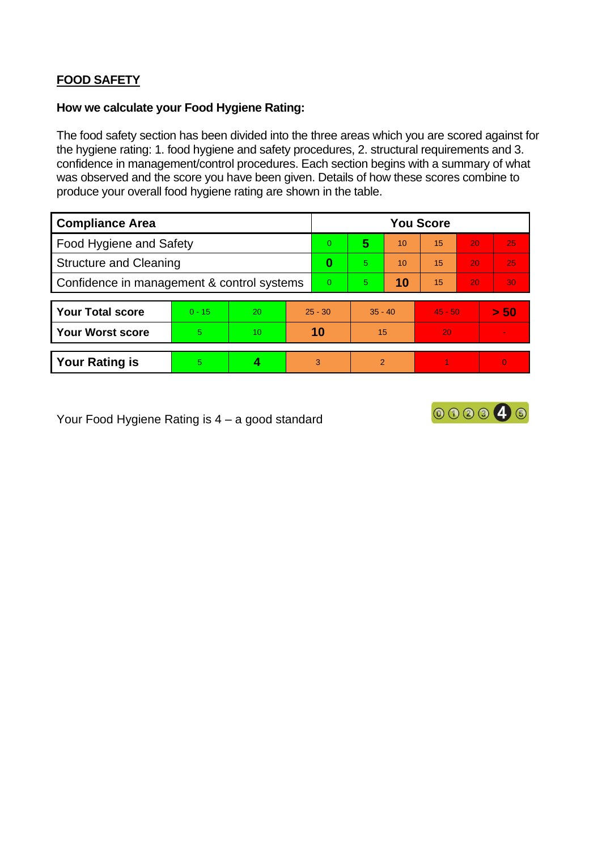# **FOOD SAFETY**

### **How we calculate your Food Hygiene Rating:**

 The food safety section has been divided into the three areas which you are scored against for the hygiene rating: 1. food hygiene and safety procedures, 2. structural requirements and 3. confidence in management/control procedures. Each section begins with a summary of what was observed and the score you have been given. Details of how these scores combine to produce your overall food hygiene rating are shown in the table.

| <b>Compliance Area</b>                     |          |                  |           | <b>You Score</b> |                |    |           |    |                |  |  |
|--------------------------------------------|----------|------------------|-----------|------------------|----------------|----|-----------|----|----------------|--|--|
| Food Hygiene and Safety                    |          |                  |           | $\Omega$         | 5              | 10 | 15        | 20 | 25             |  |  |
| <b>Structure and Cleaning</b>              |          |                  |           | 0                | 5              | 10 | 15        | 20 | 25             |  |  |
| Confidence in management & control systems |          |                  | $\Omega$  | 5                | 10             | 15 | 20        | 30 |                |  |  |
|                                            |          |                  |           |                  |                |    |           |    |                |  |  |
| <b>Your Total score</b>                    | $0 - 15$ | 20               | $25 - 30$ |                  | $35 - 40$      |    | $45 - 50$ |    | > 50           |  |  |
| <b>Your Worst score</b>                    | 5.       | 10 <sup>10</sup> | 10        |                  | 15             |    | 20        |    |                |  |  |
|                                            |          |                  |           |                  |                |    |           |    |                |  |  |
| <b>Your Rating is</b>                      | 5.       |                  | 3         |                  | $\overline{2}$ |    |           |    | $\overline{0}$ |  |  |

Your Food Hygiene Rating is 4 – a good standard

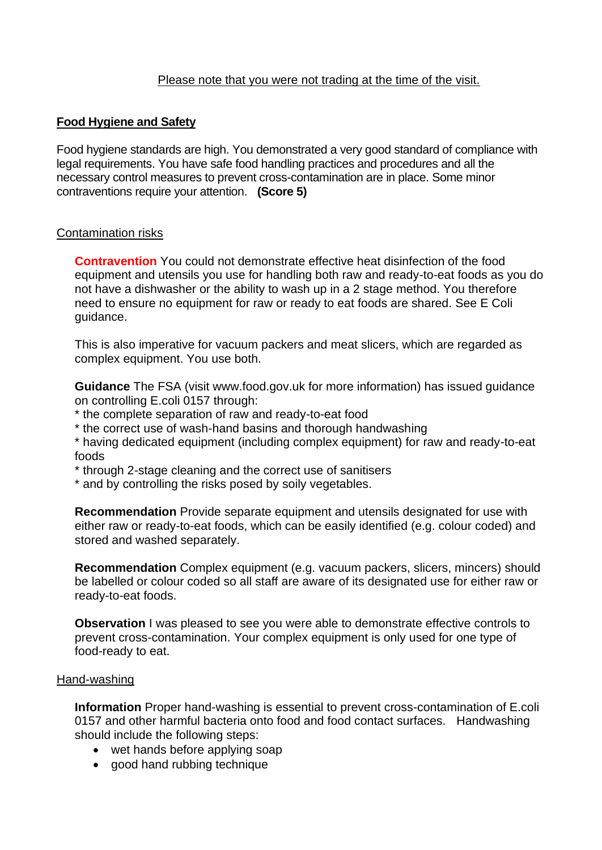### Please note that you were not trading at the time of the visit.

# **Food Hygiene and Safety**

 Food hygiene standards are high. You demonstrated a very good standard of compliance with legal requirements. You have safe food handling practices and procedures and all the necessary control measures to prevent cross-contamination are in place. Some minor contraventions require your attention. **(Score 5)** 

#### Contamination risks

 equipment and utensils you use for handling both raw and ready-to-eat foods as you do **Contravention** You could not demonstrate effective heat disinfection of the food not have a dishwasher or the ability to wash up in a 2 stage method. You therefore need to ensure no equipment for raw or ready to eat foods are shared. See E Coli guidance.

This is also imperative for vacuum packers and meat slicers, which are regarded as complex equipment. You use both.

 **Guidance** The FSA (visit <www.food.gov.uk> for more information) has issued guidance on controlling E.coli 0157 through:

- \* the complete separation of raw and ready-to-eat food
- \* the correct use of wash-hand basins and thorough handwashing

\* having dedicated equipment (including complex equipment) for raw and ready-to-eat foods

\* through 2-stage cleaning and the correct use of sanitisers

\* and by controlling the risks posed by soily vegetables.

**Recommendation** Provide separate equipment and utensils designated for use with either raw or ready-to-eat foods, which can be easily identified (e.g. colour coded) and stored and washed separately.

**Recommendation** Complex equipment (e.g. vacuum packers, slicers, mincers) should be labelled or colour coded so all staff are aware of its designated use for either raw or ready-to-eat foods.

**Observation** I was pleased to see you were able to demonstrate effective controls to prevent cross-contamination. Your complex equipment is only used for one type of food-ready to eat.

#### Hand-washing

**Information** Proper hand-washing is essential to prevent cross-contamination of E.coli 0157 and other harmful bacteria onto food and food contact surfaces. Handwashing should include the following steps:

- wet hands before applying soap
- good hand rubbing technique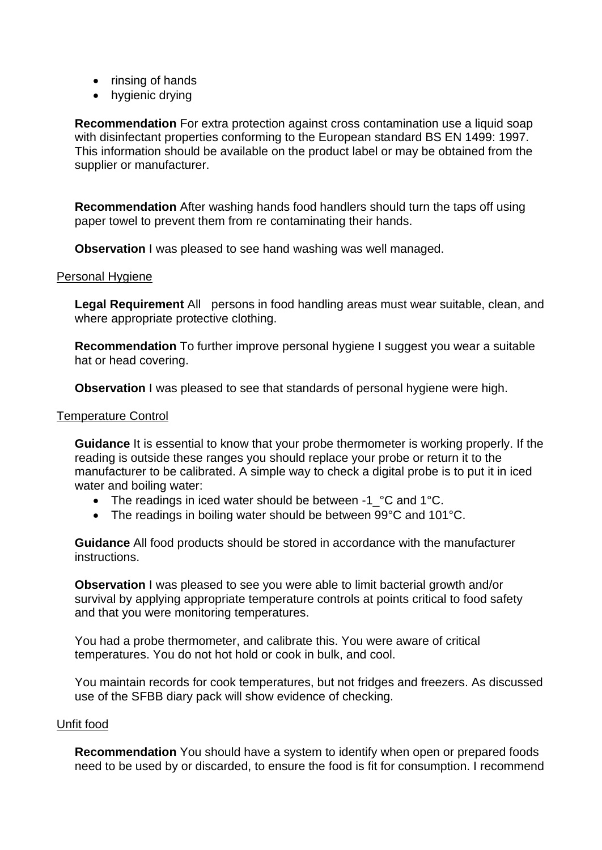- rinsing of hands
- hygienic drying

 This information should be available on the product label or may be obtained from the **Recommendation** For extra protection against cross contamination use a liquid soap with disinfectant properties conforming to the European standard BS EN 1499: 1997. supplier or manufacturer.

 **Recommendation** After washing hands food handlers should turn the taps off using paper towel to prevent them from re contaminating their hands.

**Observation** I was pleased to see hand washing was well managed.

#### Personal Hygiene

 **Legal Requirement** All persons in food handling areas must wear suitable, clean, and where appropriate protective clothing.

**Recommendation** To further improve personal hygiene I suggest you wear a suitable hat or head covering.

**Observation** I was pleased to see that standards of personal hygiene were high.

### Temperature Control

**Guidance** It is essential to know that your probe thermometer is working properly. If the reading is outside these ranges you should replace your probe or return it to the manufacturer to be calibrated. A simple way to check a digital probe is to put it in iced water and boiling water:

- The readings in iced water should be between -1\_°C and 1°C.
- The readings in boiling water should be between 99°C and 101°C.

**Guidance** All food products should be stored in accordance with the manufacturer instructions.

**Observation** I was pleased to see you were able to limit bacterial growth and/or survival by applying appropriate temperature controls at points critical to food safety and that you were monitoring temperatures.

 You had a probe thermometer, and calibrate this. You were aware of critical temperatures. You do not hot hold or cook in bulk, and cool.

You maintain records for cook temperatures, but not fridges and freezers. As discussed use of the SFBB diary pack will show evidence of checking.

#### Unfit food

**Recommendation** You should have a system to identify when open or prepared foods need to be used by or discarded, to ensure the food is fit for consumption. I recommend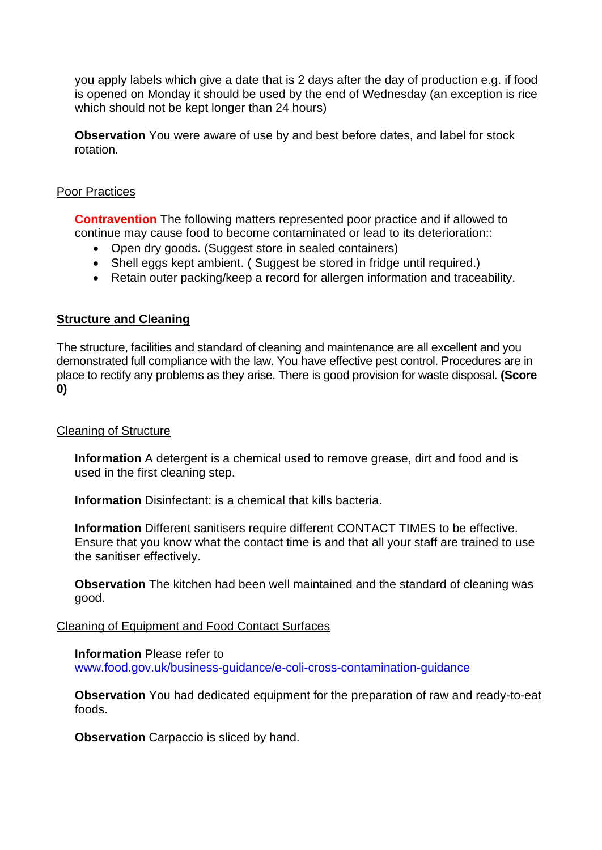you apply labels which give a date that is 2 days after the day of production e.g. if food is opened on Monday it should be used by the end of Wednesday (an exception is rice which should not be kept longer than 24 hours)

 **Observation** You were aware of use by and best before dates, and label for stock rotation.

### Poor Practices

 **Contravention** The following matters represented poor practice and if allowed to continue may cause food to become contaminated or lead to its deterioration::

- Open dry goods. (Suggest store in sealed containers)
- Shell eggs kept ambient. (Suggest be stored in fridge until required.)
- Retain outer packing/keep a record for allergen information and traceability.

### **Structure and Cleaning**

 The structure, facilities and standard of cleaning and maintenance are all excellent and you demonstrated full compliance with the law. You have effective pest control. Procedures are in place to rectify any problems as they arise. There is good provision for waste disposal. **(Score 0)** 

#### Cleaning of Structure

 **Information** A detergent is a chemical used to remove grease, dirt and food and is used in the first cleaning step.

**Information** Disinfectant: is a chemical that kills bacteria.

 Ensure that you know what the contact time is and that all your staff are trained to use **Information** Different sanitisers require different CONTACT TIMES to be effective. the sanitiser effectively.

 **Observation** The kitchen had been well maintained and the standard of cleaning was good.

#### Cleaning of Equipment and Food Contact Surfaces

#### **Information** Please refer to

<www.food.gov.uk/business-guidance/e-coli-cross-contamination-guidance>

 **Observation** You had dedicated equipment for the preparation of raw and ready-to-eat foods.

**Observation** Carpaccio is sliced by hand.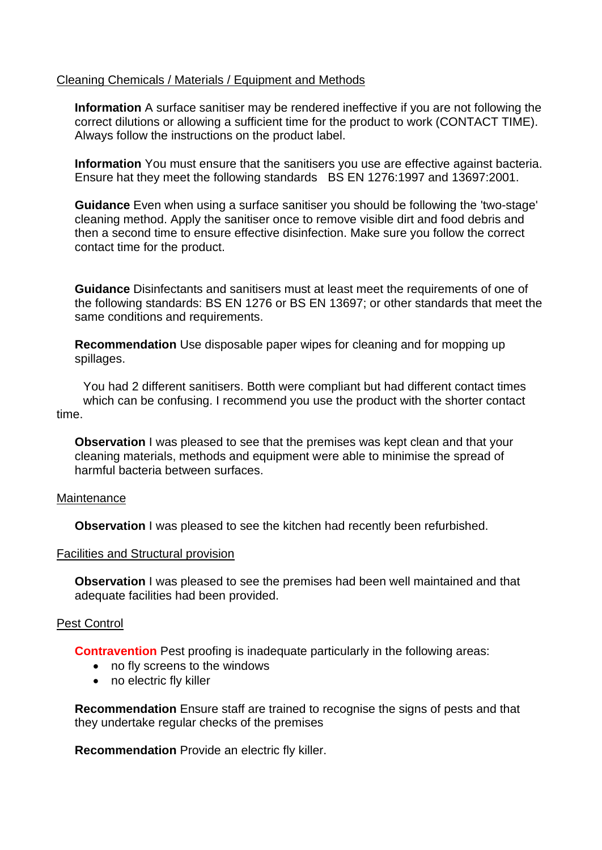### Cleaning Chemicals / Materials / Equipment and Methods

**Information** A surface sanitiser may be rendered ineffective if you are not following the correct dilutions or allowing a sufficient time for the product to work (CONTACT TIME). Always follow the instructions on the product label.

 **Information** You must ensure that the sanitisers you use are effective against bacteria. Ensure hat they meet the following standards BS EN 1276:1997 and 13697:2001.

 **Guidance** Even when using a surface sanitiser you should be following the 'two-stage' cleaning method. Apply the sanitiser once to remove visible dirt and food debris and then a second time to ensure effective disinfection. Make sure you follow the correct contact time for the product.

 the following standards: BS EN 1276 or BS EN 13697; or other standards that meet the **Guidance** Disinfectants and sanitisers must at least meet the requirements of one of same conditions and requirements.

**Recommendation** Use disposable paper wipes for cleaning and for mopping up spillages.

You had 2 different sanitisers. Botth were compliant but had different contact times which can be confusing. I recommend you use the product with the shorter contact time.

**Observation** I was pleased to see that the premises was kept clean and that your cleaning materials, methods and equipment were able to minimise the spread of harmful bacteria between surfaces.

#### Maintenance

**Observation** I was pleased to see the kitchen had recently been refurbished.

#### Facilities and Structural provision

 **Observation** I was pleased to see the premises had been well maintained and that adequate facilities had been provided.

# Pest Control

**Contravention** Pest proofing is inadequate particularly in the following areas:

- no fly screens to the windows
- no electric fly killer

**Recommendation** Ensure staff are trained to recognise the signs of pests and that they undertake regular checks of the premises

**Recommendation** Provide an electric fly killer.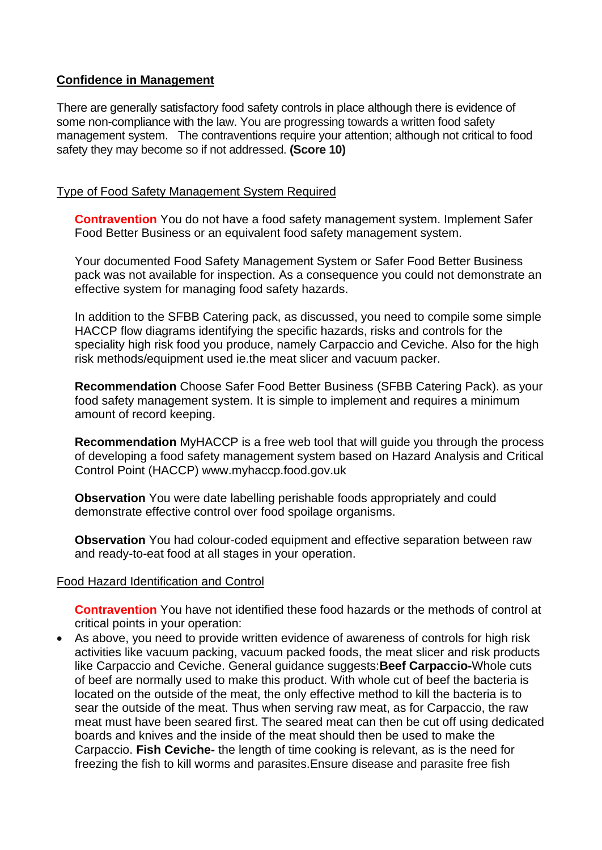# **Confidence in Management**

 There are generally satisfactory food safety controls in place although there is evidence of some non-compliance with the law. You are progressing towards a written food safety management system. The contraventions require your attention; although not critical to food safety they may become so if not addressed. **(Score 10)** 

# Type of Food Safety Management System Required

**Contravention** You do not have a food safety management system. Implement Safer Food Better Business or an equivalent food safety management system.

Your documented Food Safety Management System or Safer Food Better Business pack was not available for inspection. As a consequence you could not demonstrate an effective system for managing food safety hazards.

 speciality high risk food you produce, namely Carpaccio and Ceviche. Also for the high In addition to the SFBB Catering pack, as discussed, you need to compile some simple HACCP flow diagrams identifying the specific hazards, risks and controls for the risk methods/equipment used ie.the meat slicer and vacuum packer.

 food safety management system. It is simple to implement and requires a minimum **Recommendation** Choose Safer Food Better Business (SFBB Catering Pack). as your amount of record keeping.

**Recommendation** MyHACCP is a free web tool that will guide you through the process of developing a food safety management system based on Hazard Analysis and Critical Control Point (HACCP)<www.myhaccp.food.gov.uk>

 demonstrate effective control over food spoilage organisms. **Observation** You were date labelling perishable foods appropriately and could

**Observation** You had colour-coded equipment and effective separation between raw and ready-to-eat food at all stages in your operation.

# Food Hazard Identification and Control

**Contravention** You have not identified these food hazards or the methods of control at critical points in your operation:

 located on the outside of the meat, the only effective method to kill the bacteria is to meat must have been seared first. The seared meat can then be cut off using dedicated boards and knives and the inside of the meat should then be used to make the Carpaccio. **Fish Ceviche-** the length of time cooking is relevant, as is the need for freezing the fish to kill worms and parasites.Ensure disease and parasite free fish • As above, you need to provide written evidence of awareness of controls for high risk activities like vacuum packing, vacuum packed foods, the meat slicer and risk products like Carpaccio and Ceviche. General guidance suggests:**Beef Carpaccio-**Whole cuts of beef are normally used to make this product. With whole cut of beef the bacteria is sear the outside of the meat. Thus when serving raw meat, as for Carpaccio, the raw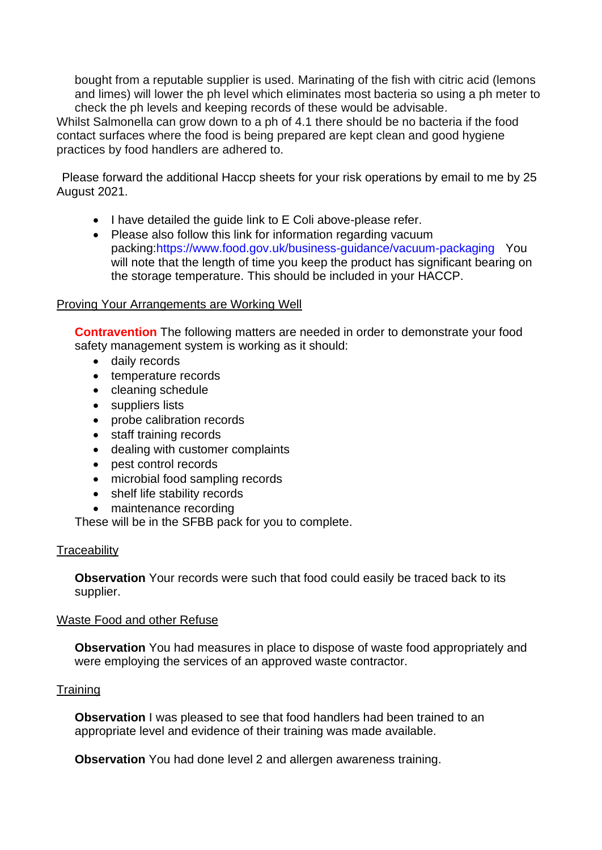and limes) will lower the ph level which eliminates most bacteria so using a ph meter to bought from a reputable supplier is used. Marinating of the fish with citric acid (lemons check the ph levels and keeping records of these would be advisable.

 Whilst Salmonella can grow down to a ph of 4.1 there should be no bacteria if the food contact surfaces where the food is being prepared are kept clean and good hygiene practices by food handlers are adhered to.

Please forward the additional Haccp sheets for your risk operations by email to me by 25 August 2021.

- I have detailed the guide link to E Coli above-please refer.
- packing:https://www.food.gov.uk/business-guidance/vacuum-packaging You will note that the length of time you keep the product has significant bearing on • Please also follow this link for information regarding vacuum the storage temperature. This should be included in your HACCP.

# Proving Your Arrangements are Working Well

**Contravention** The following matters are needed in order to demonstrate your food safety management system is working as it should:

- daily records
- temperature records
- cleaning schedule
- suppliers lists
- probe calibration records
- staff training records
- dealing with customer complaints
- pest control records
- microbial food sampling records
- shelf life stability records
- maintenance recording

These will be in the SFBB pack for you to complete.

# **Traceability**

**Observation** Your records were such that food could easily be traced back to its supplier.

# Waste Food and other Refuse

 **Observation** You had measures in place to dispose of waste food appropriately and were employing the services of an approved waste contractor.

# **Training**

**Observation** I was pleased to see that food handlers had been trained to an appropriate level and evidence of their training was made available.

**Observation** You had done level 2 and allergen awareness training.